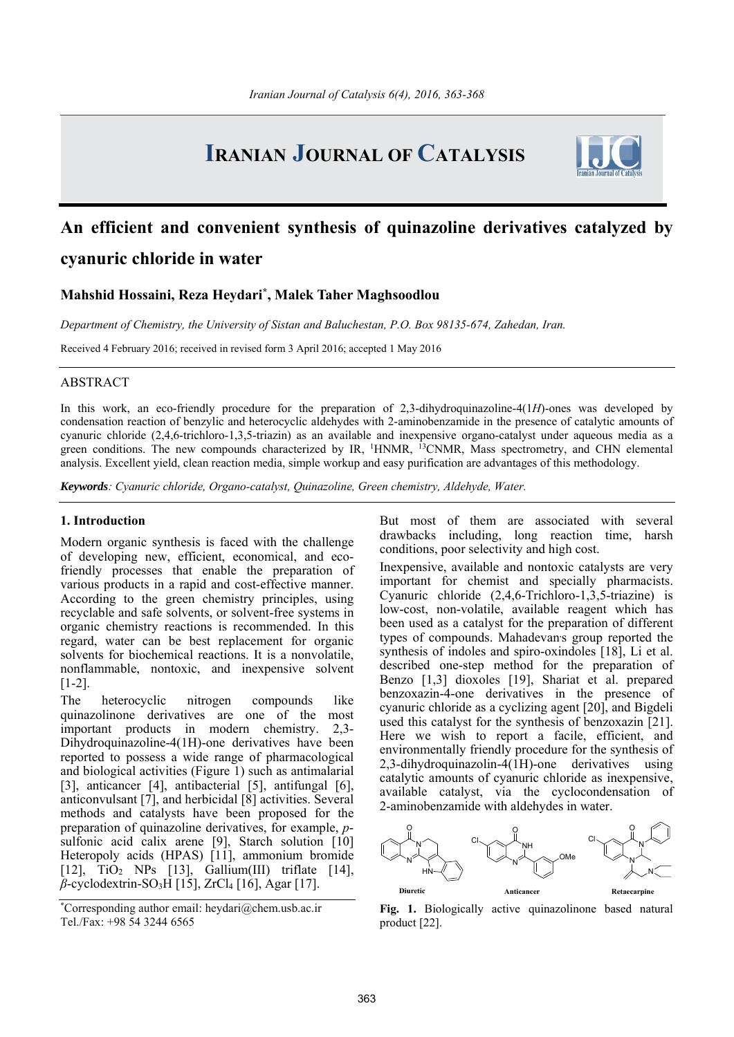# **IRANIAN JOURNAL OF CATALYSIS**



# **An efficient and convenient synthesis of quinazoline derivatives catalyzed by cyanuric chloride in water**

# **Mahshid Hossaini, Reza Heydari\*, Malek Taher Maghsoodlou**

*Department of Chemistry, the University of Sistan and Baluchestan, P.O. Box 98135-674, Zahedan, Iran.* 

Received 4 February 2016; received in revised form 3 April 2016; accepted 1 May 2016

# ABSTRACT

In this work, an eco-friendly procedure for the preparation of 2,3-dihydroquinazoline-4(1*H*)-ones was developed by condensation reaction of benzylic and heterocyclic aldehydes with 2-aminobenzamide in the presence of catalytic amounts of cyanuric chloride (2,4,6-trichloro-1,3,5-triazin) as an available and inexpensive organo-catalyst under aqueous media as a green conditions. The new compounds characterized by IR, <sup>1</sup>HNMR, <sup>13</sup>CNMR, Mass spectrometry, and CHN elemental analysis. Excellent yield, clean reaction media, simple workup and easy purification are advantages of this methodology.

*Keywords: Cyanuric chloride, Organo-catalyst, Quinazoline, Green chemistry, Aldehyde, Water.* 

### **1. Introduction**

Modern organic synthesis is faced with the challenge of developing new, efficient, economical, and ecofriendly processes that enable the preparation of various products in a rapid and cost-effective manner. According to the green chemistry principles, using recyclable and safe solvents, or solvent-free systems in organic chemistry reactions is recommended. In this regard, water can be best replacement for organic solvents for biochemical reactions. It is a nonvolatile, nonflammable, nontoxic, and inexpensive solvent [1-2].

The heterocyclic nitrogen compounds like quinazolinone derivatives are one of the most important products in modern chemistry. 2,3- Dihydroquinazoline-4(1H)-one derivatives have been reported to possess a wide range of pharmacological and biological activities (Figure 1) such as antimalarial [3], anticancer [4], antibacterial [5], antifungal [6], anticonvulsant [7], and herbicidal [8] activities. Several methods and catalysts have been proposed for the preparation of quinazoline derivatives, for example, *p*sulfonic acid calix arene [9], Starch solution [10] Heteropoly acids (HPAS) [11], ammonium bromide [12], TiO2 NPs [13], Gallium(III) triflate [14], *β*-cyclodextrin-SO3H [15], ZrCl4 [16], Agar [17].

\* Corresponding author email: heydari@chem.usb.ac.ir Tel./Fax: +98 54 3244 6565

But most of them are associated with several drawbacks including, long reaction time, harsh conditions, poor selectivity and high cost.

Inexpensive, available and nontoxic catalysts are very important for chemist and specially pharmacists. Cyanuric chloride (2,4,6-Trichloro-1,3,5-triazine) is low-cost, non-volatile, available reagent which has been used as a catalyst for the preparation of different types of compounds. Mahadevan's group reported the synthesis of indoles and spiro-oxindoles [18], Li et al. described one-step method for the preparation of Benzo [1,3] dioxoles [19], Shariat et al. prepared benzoxazin-4-one derivatives in the presence of cyanuric chloride as a cyclizing agent [20], and Bigdeli used this catalyst for the synthesis of benzoxazin [21]. Here we wish to report a facile, efficient, and environmentally friendly procedure for the synthesis of 2,3-dihydroquinazolin-4(1H)-one derivatives using catalytic amounts of cyanuric chloride as inexpensive, available catalyst, via the cyclocondensation of 2-aminobenzamide with aldehydes in water.



**Fig. 1.** Biologically active quinazolinone based natural product [22].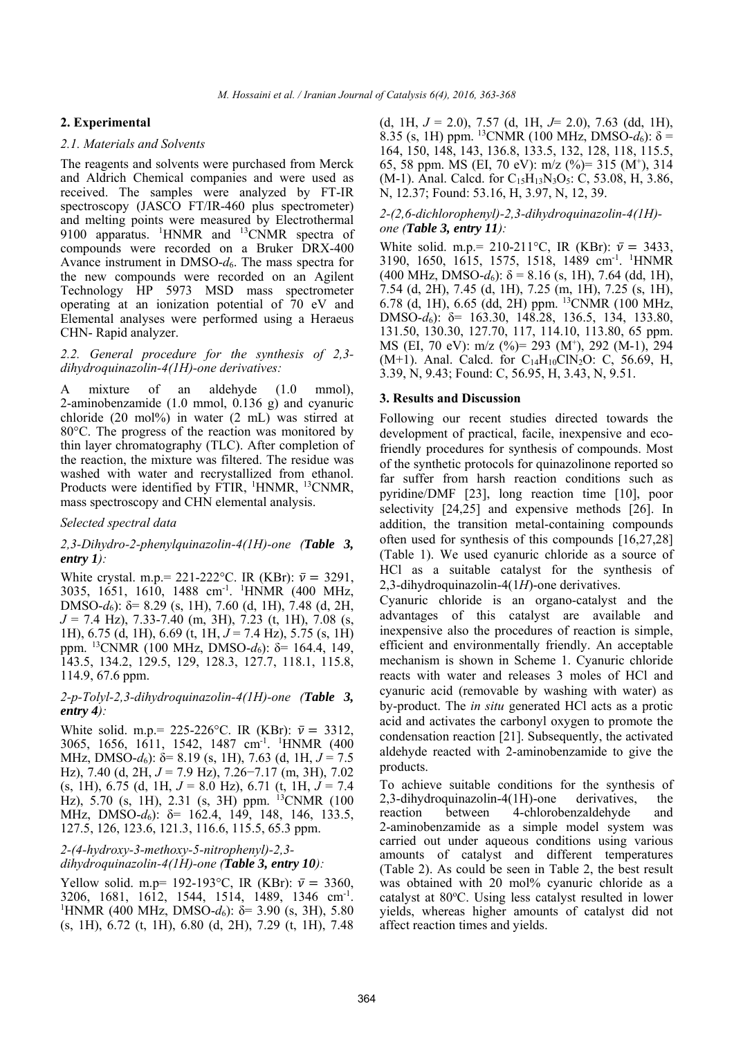# **2. Experimental**

#### *2.1. Materials and Solvents*

The reagents and solvents were purchased from Merck and Aldrich Chemical companies and were used as received. The samples were analyzed by FT-IR spectroscopy (JASCO FT/IR-460 plus spectrometer) and melting points were measured by Electrothermal 9100 apparatus. <sup>1</sup>HNMR and <sup>13</sup>CNMR spectra of compounds were recorded on a Bruker DRX-400 Avance instrument in DMSO-*d*6. The mass spectra for the new compounds were recorded on an Agilent Technology HP 5973 MSD mass spectrometer operating at an ionization potential of 70 eV and Elemental analyses were performed using a Heraeus CHN- Rapid analyzer.

#### *2.2. General procedure for the synthesis of 2,3 dihydroquinazolin-4(1H)-one derivatives:*

A mixture of an aldehyde (1.0 mmol), 2-aminobenzamide (1.0 mmol, 0.136 g) and cyanuric chloride (20 mol%) in water (2 mL) was stirred at 80°C. The progress of the reaction was monitored by thin layer chromatography (TLC). After completion of the reaction, the mixture was filtered. The residue was washed with water and recrystallized from ethanol. Products were identified by FTIR, <sup>1</sup>HNMR, <sup>13</sup>CNMR, mass spectroscopy and CHN elemental analysis.

#### *Selected spectral data*

## *2,3-Dihydro-2-phenylquinazolin-4(1H)-one (Table 3, entry 1):*

White crystal. m.p.= 221-222°C. IR (KBr):  $\bar{v} = 3291$ , 3035, 1651, 1610, 1488 cm-1. 1 HNMR (400 MHz, DMSO-*d*6): δ= 8.29 (s, 1H), 7.60 (d, 1H), 7.48 (d, 2H, *J* = 7.4 Hz), 7.33-7.40 (m, 3H), 7.23 (t, 1H), 7.08 (s, 1H), 6.75 (d, 1H), 6.69 (t, 1H, *J* = 7.4 Hz), 5.75 (s, 1H) ppm. 13CNMR (100 MHz, DMSO-*d*6): δ= 164.4, 149, 143.5, 134.2, 129.5, 129, 128.3, 127.7, 118.1, 115.8, 114.9, 67.6 ppm.

## *2-p-Tolyl-2,3-dihydroquinazolin-4(1H)-one (Table 3, entry 4):*

White solid. m.p.= 225-226°C. IR (KBr):  $\bar{v} = 3312$ , 3065, 1656, 1611, 1542, 1487 cm<sup>-1</sup>. <sup>1</sup>HNMR (400 MHz, DMSO-*d*6): δ= 8.19 (s, 1H), 7.63 (d, 1H, *J* = 7.5 Hz), 7.40 (d, 2H, *J* = 7.9 Hz), 7.26−7.17 (m, 3H), 7.02 (s, 1H), 6.75 (d, 1H, *J* = 8.0 Hz), 6.71 (t, 1H, *J* = 7.4 Hz), 5.70 (s, 1H), 2.31 (s, 3H) ppm. 13CNMR (100 MHz, DMSO-*d*6): δ= 162.4, 149, 148, 146, 133.5, 127.5, 126, 123.6, 121.3, 116.6, 115.5, 65.3 ppm.

*2-(4-hydroxy-3-methoxy-5-nitrophenyl)-2,3 dihydroquinazolin-4(1H)-one (Table 3, entry 10):* 

Yellow solid. m.p= 192-193 °C, IR (KBr):  $\bar{v} = 3360$ , 3206, 1681, 1612, 1544, 1514, 1489, 1346 cm<sup>-1</sup>. <sup>1</sup>HNMR (400 MHz, DMSO- $d_6$ ): δ= 3.90 (s, 3H), 5.80 (s, 1H), 6.72 (t, 1H), 6.80 (d, 2H), 7.29 (t, 1H), 7.48

(d, 1H, *J* = 2.0), 7.57 (d, 1H, *J*= 2.0), 7.63 (dd, 1H), 8.35 (s, 1H) ppm. <sup>13</sup>CNMR (100 MHz, DMSO- $d_6$ ):  $\delta$  = 164, 150, 148, 143, 136.8, 133.5, 132, 128, 118, 115.5, 65, 58 ppm. MS (EI, 70 eV): m/z (%)= 315 (M+ ), 314 (M-1). Anal. Calcd. for  $C_{15}H_{13}N_3O_5$ : C, 53.08, H, 3.86, N, 12.37; Found: 53.16, H, 3.97, N, 12, 39.

#### *2-(2,6-dichlorophenyl)-2,3-dihydroquinazolin-4(1H) one (Table 3, entry 11):*

White solid. m.p.= 210-211°C, IR (KBr):  $\bar{v} = 3433$ , 3190, 1650, 1615, 1575, 1518, 1489 cm-1. 1 HNMR (400 MHz, DMSO- $d_6$ ):  $\delta$  = 8.16 (s, 1H), 7.64 (dd, 1H), 7.54 (d, 2H), 7.45 (d, 1H), 7.25 (m, 1H), 7.25 (s, 1H), 6.78 (d, 1H), 6.65 (dd, 2H) ppm. 13CNMR (100 MHz, DMSO-*d*6): δ= 163.30, 148.28, 136.5, 134, 133.80, 131.50, 130.30, 127.70, 117, 114.10, 113.80, 65 ppm. MS (EI, 70 eV): m/z (%)= 293 (M+ ), 292 (M-1), 294 (M+1). Anal. Calcd. for  $C_{14}H_{10}CN_2O$ : C, 56.69, H, 3.39, N, 9.43; Found: C, 56.95, H, 3.43, N, 9.51.

### **3. Results and Discussion**

Following our recent studies directed towards the development of practical, facile, inexpensive and ecofriendly procedures for synthesis of compounds. Most of the synthetic protocols for quinazolinone reported so far suffer from harsh reaction conditions such as pyridine/DMF [23], long reaction time [10], poor selectivity [24,25] and expensive methods [26]. In addition, the transition metal-containing compounds often used for synthesis of this compounds [16,27,28] (Table 1). We used cyanuric chloride as a source of HCl as a suitable catalyst for the synthesis of 2,3-dihydroquinazolin-4(1*H*)-one derivatives.

Cyanuric chloride is an organo-catalyst and the advantages of this catalyst are available and inexpensive also the procedures of reaction is simple, efficient and environmentally friendly. An acceptable mechanism is shown in Scheme 1. Cyanuric chloride reacts with water and releases 3 moles of HCl and cyanuric acid (removable by washing with water) as by-product. The *in situ* generated HCl acts as a protic acid and activates the carbonyl oxygen to promote the condensation reaction [21]. Subsequently, the activated aldehyde reacted with 2-aminobenzamide to give the products.

To achieve suitable conditions for the synthesis of 2,3-dihydroquinazolin-4(1H)-one derivatives, the reaction between 4-chlorobenzaldehyde and 2-aminobenzamide as a simple model system was carried out under aqueous conditions using various amounts of catalyst and different temperatures (Table 2). As could be seen in Table 2, the best result was obtained with 20 mol% cyanuric chloride as a catalyst at 80°C. Using less catalyst resulted in lower yields, whereas higher amounts of catalyst did not affect reaction times and yields.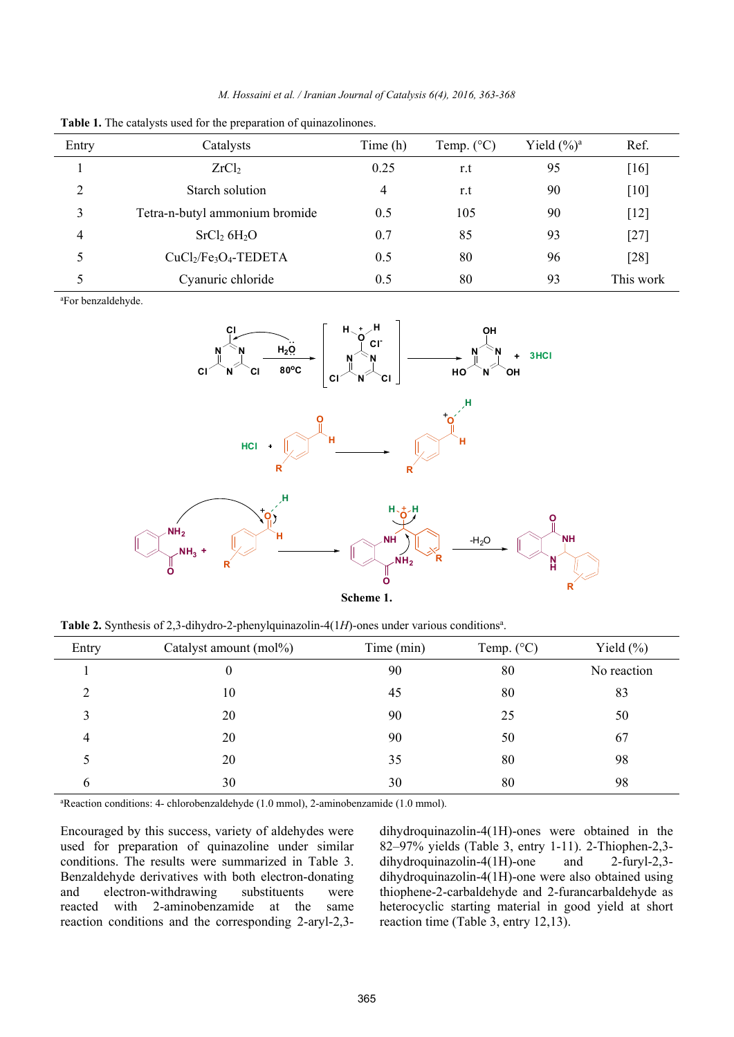| M. Hossaini et al. / Iranian Journal of Catalysis 6(4), 2016, 363-368 |  |  |  |  |  |  |  |
|-----------------------------------------------------------------------|--|--|--|--|--|--|--|
|-----------------------------------------------------------------------|--|--|--|--|--|--|--|

| Entry         | Catalysts                           | Time (h)       | Temp. $(^{\circ}C)$ | Yield $(\%)^a$ | Ref.      |
|---------------|-------------------------------------|----------------|---------------------|----------------|-----------|
|               | ZrCl <sub>2</sub>                   | 0.25           | r.t                 | 95             | $[16]$    |
| $\mathcal{D}$ | Starch solution                     | $\overline{4}$ | r.t                 | 90             | $[10]$    |
| 3             | Tetra-n-butyl ammonium bromide      | 0.5            | 105                 | 90             | $[12]$    |
| 4             | SrCl <sub>2</sub> 6H <sub>2</sub> O | 0.7            | 85                  | 93             | $[27]$    |
|               | $CuCl2/Fe3O4-TEDETA$                | 0.5            | 80                  | 96             | [28]      |
|               | Cyanuric chloride                   | 0.5            | 80                  | 93             | This work |

**Table 1.** The catalysts used for the preparation of quinazolinones.

a For benzaldehyde.



Table 2. Synthesis of 2,3-dihydro-2-phenylquinazolin- $4(1H)$ -ones under various conditions<sup>a</sup>.

| Entry | Catalyst amount (mol%) | Time (min) | Temp. $(^{\circ}C)$ | Yield $(\%)$ |
|-------|------------------------|------------|---------------------|--------------|
|       | $\boldsymbol{0}$       | 90         | 80                  | No reaction  |
| C     | 10                     | 45         | 80                  | 83           |
| 3     | 20                     | 90         | 25                  | 50           |
| 4     | 20                     | 90         | 50                  | 67           |
| 5.    | 20                     | 35         | 80                  | 98           |
| 6     | 30                     | 30         | 80                  | 98           |

a Reaction conditions: 4- chlorobenzaldehyde (1.0 mmol), 2-aminobenzamide (1.0 mmol).

Encouraged by this success, variety of aldehydes were used for preparation of quinazoline under similar conditions. The results were summarized in Table 3. Benzaldehyde derivatives with both electron-donating and electron-withdrawing substituents were reacted with 2-aminobenzamide at the same reaction conditions and the corresponding 2-aryl-2,3dihydroquinazolin-4(1H)-ones were obtained in the 82–97% yields (Table 3, entry 1-11). 2-Thiophen-2,3 dihydroquinazolin-4(1H)-one and 2-furyl-2,3 dihydroquinazolin-4(1H)-one were also obtained using thiophene-2-carbaldehyde and 2-furancarbaldehyde as heterocyclic starting material in good yield at short reaction time (Table 3, entry 12,13).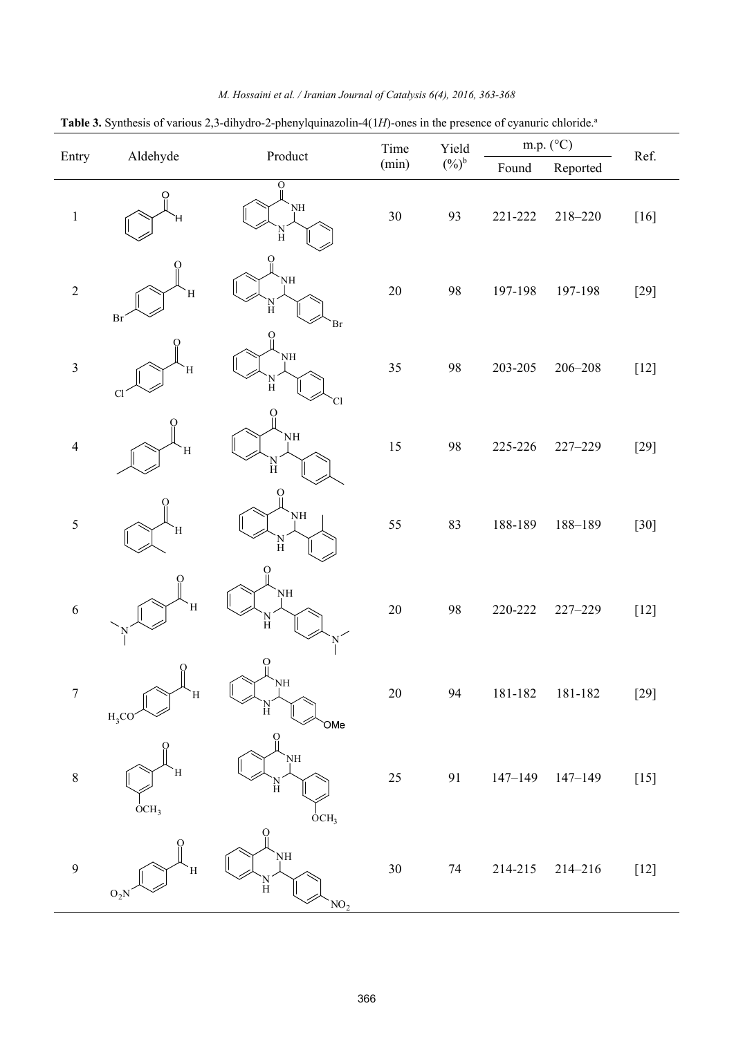| Table 3. Synthesis of various 2,3-dihydro-2-phenylquinazolin-4(1H)-ones in the presence of cyanuric chloride. <sup>a</sup> |                       |                                                 |        |          |             |             |        |
|----------------------------------------------------------------------------------------------------------------------------|-----------------------|-------------------------------------------------|--------|----------|-------------|-------------|--------|
|                                                                                                                            | Aldehyde              | Product                                         | Time   | Yield    | m.p. (°C)   |             | Ref.   |
| Entry                                                                                                                      |                       |                                                 | (min)  | $(\%)^b$ | Found       | Reported    |        |
| $\mathbf{1}$                                                                                                               | O                     | $\ddot{\mathrm{o}}$<br>NH<br>$_{\rm H}^{\rm N}$ | $30\,$ | 93       | 221-222     | $218 - 220$ | $[16]$ |
| $\sqrt{2}$                                                                                                                 | $\mathbf H$<br>Br     | O<br>NH<br>$\frac{N}{H}$<br>Br                  | $20\,$ | 98       | 197-198     | 197-198     | $[29]$ |
| $\mathfrak{Z}$                                                                                                             | Ή<br>Cl               | О<br>ŅH<br>N<br>H<br>Cl                         | 35     | 98       | 203-205     | $206 - 208$ | $[12]$ |
| $\overline{4}$                                                                                                             | Ή                     | O<br>NH<br>N<br>H                               | $15\,$ | 98       | 225-226     | 227-229     | $[29]$ |
| 5                                                                                                                          | Ή                     | $\Omega$<br>NH<br>`N<br>H                       | 55     | 83       | 188-189     | 188-189     | $[30]$ |
| $\sqrt{6}$                                                                                                                 | Ή                     | NH<br>$\frac{\text{N}}{\text{H}}$               | $20\,$ | 98       | 220-222     | 227-229     | $[12]$ |
| $\boldsymbol{7}$                                                                                                           | O<br>H<br>$H_3CO$     | Ο<br>ŅH<br>Ĥ<br>OMe                             | $20\,$ | 94       | $181 - 182$ | 181-182     | $[29]$ |
| $\,$ $\,$                                                                                                                  | Ή<br>OCH <sub>3</sub> | NH<br>$\frac{N}{H}$<br>OCH <sub>3</sub>         | $25\,$ | 91       | $147 - 149$ | $147 - 149$ | $[15]$ |
| 9                                                                                                                          | Ή<br>$O_2N$           | О<br>NH<br>$\frac{N}{H}$<br>NO <sub>2</sub>     | $30\,$ | 74       | 214-215     | $214 - 216$ | $[12]$ |

# *M. Hossaini et al. / Iranian Journal of Catalysis 6(4), 2016, 363-368*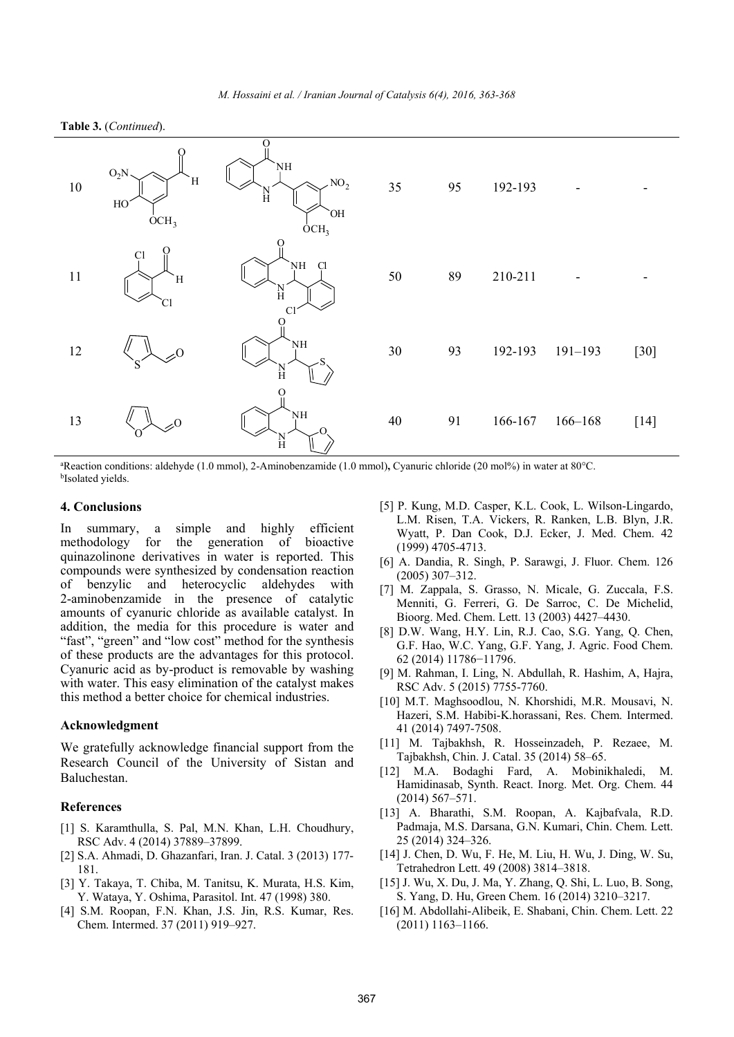



<sup>a</sup>Reaction conditions: aldehyde (1.0 mmol), 2-Aminobenzamide (1.0 mmol), Cyanuric chloride (20 mol%) in water at 80°C.<br><sup>b</sup>Isolated yields.

#### **4. Conclusions**

In summary, a simple and highly efficient methodology for the generation of bioactive quinazolinone derivatives in water is reported. This compounds were synthesized by condensation reaction of benzylic and heterocyclic aldehydes with 2-aminobenzamide in the presence of catalytic amounts of cyanuric chloride as available catalyst. In addition, the media for this procedure is water and "fast", "green" and "low cost" method for the synthesis of these products are the advantages for this protocol. Cyanuric acid as by-product is removable by washing with water. This easy elimination of the catalyst makes this method a better choice for chemical industries.

#### **Acknowledgment**

We gratefully acknowledge financial support from the Research Council of the University of Sistan and Baluchestan.

# **References**

- [1] S. Karamthulla, S. Pal, M.N. Khan, L.H. Choudhury, RSC Adv. 4 (2014) 37889–37899.
- [2] S.A. Ahmadi, D. Ghazanfari, Iran. J. Catal. 3 (2013) 177- 181.
- [3] Y. Takaya, T. Chiba, M. Tanitsu, K. Murata, H.S. Kim, Y. Wataya, Y. Oshima, Parasitol. Int. 47 (1998) 380.
- [4] S.M. Roopan, F.N. Khan, J.S. Jin, R.S. Kumar, Res. Chem. Intermed. 37 (2011) 919–927.
- [5] P. Kung, M.D. Casper, K.L. Cook, L. Wilson-Lingardo, L.M. Risen, T.A. Vickers, R. Ranken, L.B. Blyn, J.R. Wyatt, P. Dan Cook, D.J. Ecker, J. Med. Chem. 42 (1999) 4705-4713.
- [6] A. Dandia, R. Singh, P. Sarawgi, J. Fluor. Chem. 126 (2005) 307–312.
- [7] M. Zappala, S. Grasso, N. Micale, G. Zuccala, F.S. Menniti, G. Ferreri, G. De Sarroc, C. De Michelid, Bioorg. Med. Chem. Lett. 13 (2003) 4427–4430.
- [8] D.W. Wang, H.Y. Lin, R.J. Cao, S.G. Yang, Q. Chen, G.F. Hao, W.C. Yang, G.F. Yang, J. Agric. Food Chem. 62 (2014) 11786−11796.
- [9] M. Rahman, I. Ling, N. Abdullah, R. Hashim, A, Hajra, RSC Adv. 5 (2015) 7755-7760.
- [10] M.T. Maghsoodlou, N. Khorshidi, M.R. Mousavi, N. Hazeri, S.M. Habibi-K.horassani, Res. Chem. Intermed. 41 (2014) 7497-7508.
- [11] M. Tajbakhsh, R. Hosseinzadeh, P. Rezaee, M. Tajbakhsh, Chin. J. Catal. 35 (2014) 58–65.
- [12] M.A. Bodaghi Fard, A. Mobinikhaledi, M. Hamidinasab, Synth. React. Inorg. Met. Org. Chem. 44 (2014) 567–571.
- [13] A. Bharathi, S.M. Roopan, A. Kajbafvala, R.D. Padmaja, M.S. Darsana, G.N. Kumari, Chin. Chem. Lett. 25 (2014) 324–326.
- [14] J. Chen, D. Wu, F. He, M. Liu, H. Wu, J. Ding, W. Su, Tetrahedron Lett. 49 (2008) 3814–3818.
- [15] J. Wu, X. Du, J. Ma, Y. Zhang, Q. Shi, L. Luo, B. Song, S. Yang, D. Hu, Green Chem. 16 (2014) 3210–3217.
- [16] M. Abdollahi-Alibeik, E. Shabani, Chin. Chem. Lett. 22 (2011) 1163–1166.